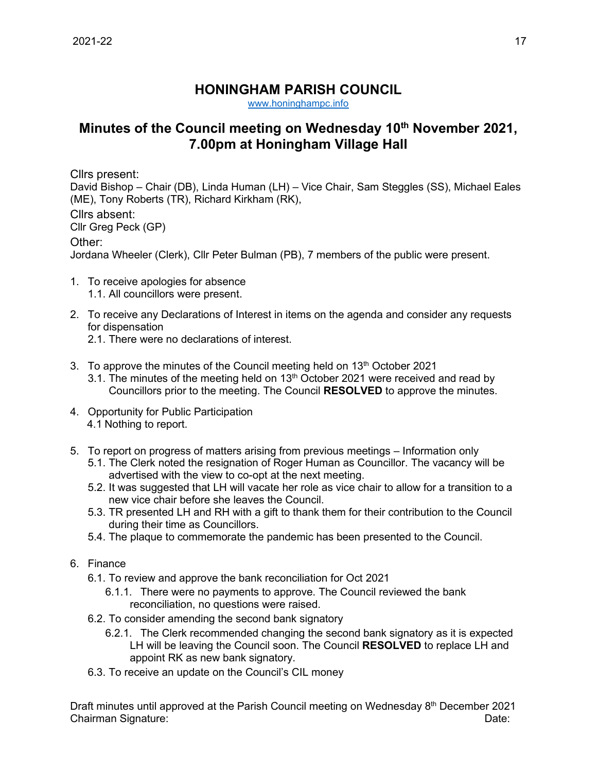## **HONINGHAM PARISH COUNCIL**

[www.honinghampc.info](http://www.honinghampc.info/)

## **Minutes of the Council meeting on Wednesday 10th November 2021, 7.00pm at Honingham Village Hall**

Cllrs present:

David Bishop – Chair (DB), Linda Human (LH) – Vice Chair, Sam Steggles (SS), Michael Eales (ME), Tony Roberts (TR), Richard Kirkham (RK),

Cllrs absent: Cllr Greg Peck (GP)

Other:

Jordana Wheeler (Clerk), Cllr Peter Bulman (PB), 7 members of the public were present.

- 1. To receive apologies for absence 1.1. All councillors were present.
- 2. To receive any Declarations of Interest in items on the agenda and consider any requests for dispensation
	- 2.1. There were no declarations of interest.
- 3. To approve the minutes of the Council meeting held on  $13<sup>th</sup>$  October 2021
	- 3.1. The minutes of the meeting held on  $13<sup>th</sup>$  October 2021 were received and read by Councillors prior to the meeting. The Council **RESOLVED** to approve the minutes.
- 4. Opportunity for Public Participation 4.1 Nothing to report.
- 5. To report on progress of matters arising from previous meetings Information only
	- 5.1. The Clerk noted the resignation of Roger Human as Councillor. The vacancy will be advertised with the view to co-opt at the next meeting.
	- 5.2. It was suggested that LH will vacate her role as vice chair to allow for a transition to a new vice chair before she leaves the Council.
	- 5.3. TR presented LH and RH with a gift to thank them for their contribution to the Council during their time as Councillors.
	- 5.4. The plaque to commemorate the pandemic has been presented to the Council.
- 6. Finance
	- 6.1. To review and approve the bank reconciliation for Oct 2021
		- 6.1.1. There were no payments to approve. The Council reviewed the bank reconciliation, no questions were raised.
	- 6.2. To consider amending the second bank signatory
		- 6.2.1. The Clerk recommended changing the second bank signatory as it is expected LH will be leaving the Council soon. The Council **RESOLVED** to replace LH and appoint RK as new bank signatory.
	- 6.3. To receive an update on the Council's CIL money

Draft minutes until approved at the Parish Council meeting on Wednesday 8<sup>th</sup> December 2021 Chairman Signature: Date: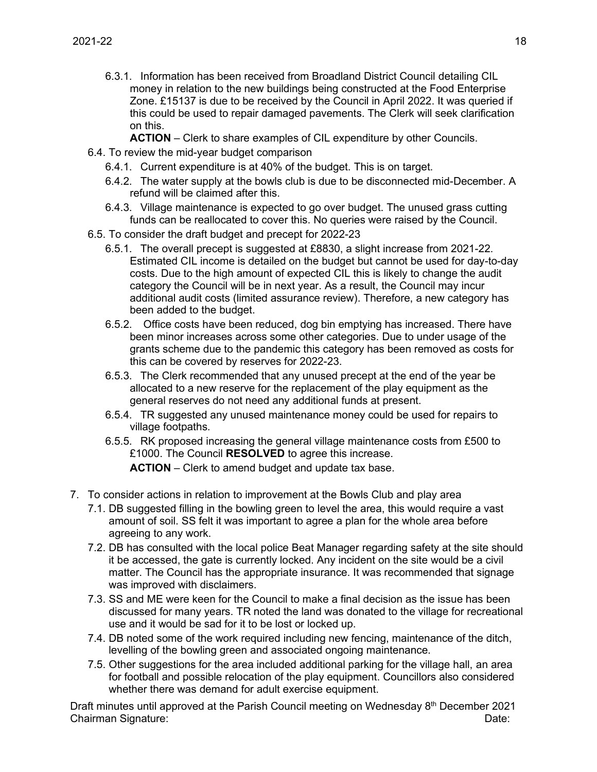- 6.3.1. Information has been received from Broadland District Council detailing CIL money in relation to the new buildings being constructed at the Food Enterprise Zone. £15137 is due to be received by the Council in April 2022. It was queried if this could be used to repair damaged pavements. The Clerk will seek clarification on this.
	- **ACTION** Clerk to share examples of CIL expenditure by other Councils.
- 6.4. To review the mid-year budget comparison
	- 6.4.1. Current expenditure is at 40% of the budget. This is on target.
	- 6.4.2. The water supply at the bowls club is due to be disconnected mid-December. A refund will be claimed after this.
	- 6.4.3. Village maintenance is expected to go over budget. The unused grass cutting funds can be reallocated to cover this. No queries were raised by the Council.
- 6.5. To consider the draft budget and precept for 2022-23
	- 6.5.1. The overall precept is suggested at £8830, a slight increase from 2021-22. Estimated CIL income is detailed on the budget but cannot be used for day-to-day costs. Due to the high amount of expected CIL this is likely to change the audit category the Council will be in next year. As a result, the Council may incur additional audit costs (limited assurance review). Therefore, a new category has been added to the budget.
	- 6.5.2. Office costs have been reduced, dog bin emptying has increased. There have been minor increases across some other categories. Due to under usage of the grants scheme due to the pandemic this category has been removed as costs for this can be covered by reserves for 2022-23.
	- 6.5.3. The Clerk recommended that any unused precept at the end of the year be allocated to a new reserve for the replacement of the play equipment as the general reserves do not need any additional funds at present.
	- 6.5.4. TR suggested any unused maintenance money could be used for repairs to village footpaths.
	- 6.5.5. RK proposed increasing the general village maintenance costs from £500 to £1000. The Council **RESOLVED** to agree this increase. **ACTION** – Clerk to amend budget and update tax base.
- 7. To consider actions in relation to improvement at the Bowls Club and play area
	- 7.1. DB suggested filling in the bowling green to level the area, this would require a vast amount of soil. SS felt it was important to agree a plan for the whole area before agreeing to any work.
	- 7.2. DB has consulted with the local police Beat Manager regarding safety at the site should it be accessed, the gate is currently locked. Any incident on the site would be a civil matter. The Council has the appropriate insurance. It was recommended that signage was improved with disclaimers.
	- 7.3. SS and ME were keen for the Council to make a final decision as the issue has been discussed for many years. TR noted the land was donated to the village for recreational use and it would be sad for it to be lost or locked up.
	- 7.4. DB noted some of the work required including new fencing, maintenance of the ditch, levelling of the bowling green and associated ongoing maintenance.
	- 7.5. Other suggestions for the area included additional parking for the village hall, an area for football and possible relocation of the play equipment. Councillors also considered whether there was demand for adult exercise equipment.

Draft minutes until approved at the Parish Council meeting on Wednesday 8<sup>th</sup> December 2021 Chairman Signature: Date: Date: Date: Date: Date: Date: Date: Date: Date: Date: Date: Date: Date: Date: Date: Date: Date: Date: Date: Date: Date: Date: Date: Date: Date: Date: Date: Date: Date: Date: Date: Date: Date: Date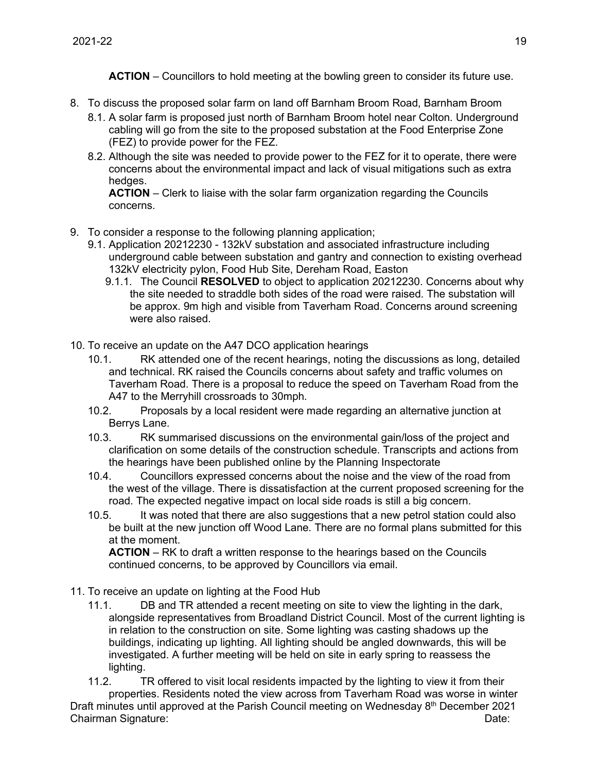**ACTION** – Councillors to hold meeting at the bowling green to consider its future use.

- 8. To discuss the proposed solar farm on land off Barnham Broom Road, Barnham Broom
	- 8.1. A solar farm is proposed just north of Barnham Broom hotel near Colton. Underground cabling will go from the site to the proposed substation at the Food Enterprise Zone (FEZ) to provide power for the FEZ.
	- 8.2. Although the site was needed to provide power to the FEZ for it to operate, there were concerns about the environmental impact and lack of visual mitigations such as extra hedges.

**ACTION** – Clerk to liaise with the solar farm organization regarding the Councils concerns.

- 9. To consider a response to the following planning application;
	- 9.1. Application 20212230 132kV substation and associated infrastructure including underground cable between substation and gantry and connection to existing overhead 132kV electricity pylon, Food Hub Site, Dereham Road, Easton
		- 9.1.1. The Council **RESOLVED** to object to application 20212230. Concerns about why the site needed to straddle both sides of the road were raised. The substation will be approx. 9m high and visible from Taverham Road. Concerns around screening were also raised.
- 10. To receive an update on the A47 DCO application hearings
	- 10.1. RK attended one of the recent hearings, noting the discussions as long, detailed and technical. RK raised the Councils concerns about safety and traffic volumes on Taverham Road. There is a proposal to reduce the speed on Taverham Road from the A47 to the Merryhill crossroads to 30mph.
	- 10.2. Proposals by a local resident were made regarding an alternative junction at Berrys Lane.
	- 10.3. RK summarised discussions on the environmental gain/loss of the project and clarification on some details of the construction schedule. Transcripts and actions from the hearings have been published online by the Planning Inspectorate
	- 10.4. Councillors expressed concerns about the noise and the view of the road from the west of the village. There is dissatisfaction at the current proposed screening for the road. The expected negative impact on local side roads is still a big concern.
	- 10.5. It was noted that there are also suggestions that a new petrol station could also be built at the new junction off Wood Lane. There are no formal plans submitted for this at the moment.

**ACTION** – RK to draft a written response to the hearings based on the Councils continued concerns, to be approved by Councillors via email.

- 11. To receive an update on lighting at the Food Hub
	- 11.1. DB and TR attended a recent meeting on site to view the lighting in the dark, alongside representatives from Broadland District Council. Most of the current lighting is in relation to the construction on site. Some lighting was casting shadows up the buildings, indicating up lighting. All lighting should be angled downwards, this will be investigated. A further meeting will be held on site in early spring to reassess the lighting.

Draft minutes until approved at the Parish Council meeting on Wednesday 8<sup>th</sup> December 2021 Chairman Signature: Date: Date: Date: Date: Date: Date: Date: Date: Date: Date: Date: Date: Date: Date: Date: Date: Date: Date: Date: Date: Date: Date: Date: Date: Date: Date: Date: Date: Date: Date: Date: Date: Date: Date 11.2. TR offered to visit local residents impacted by the lighting to view it from their properties. Residents noted the view across from Taverham Road was worse in winter